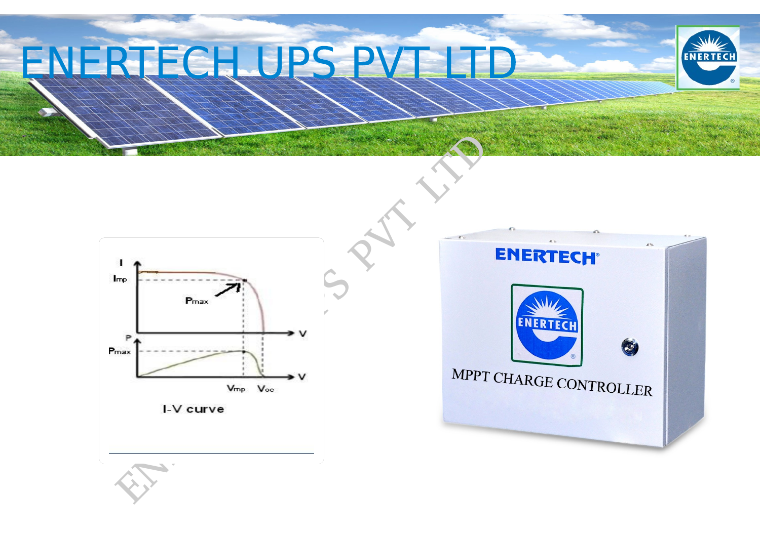# ENERTECH UPS PV







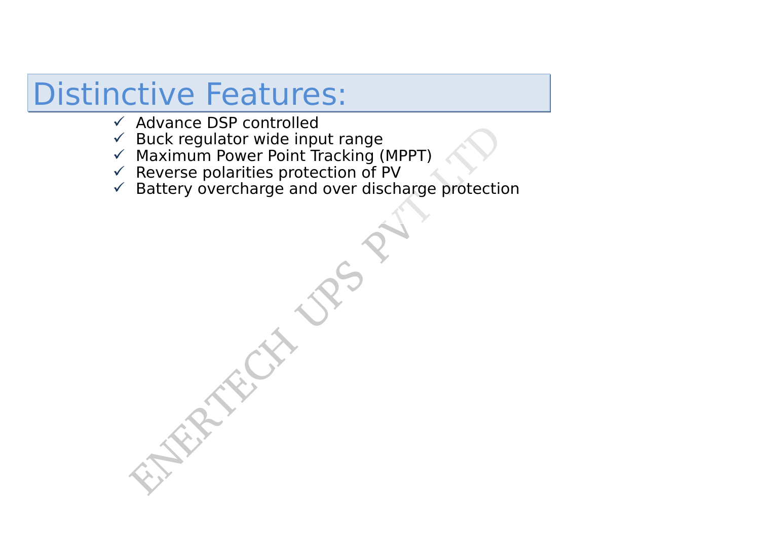## Distinctive Features:

- $\checkmark$  Advance DSP controlled
- $\checkmark$  Buck regulator wide input range
- $\checkmark$  Maximum Power Point Tracking (MPPT)
- $\checkmark$  Reverse polarities protection of PV
- $\checkmark$  Battery overcharge and over discharge protection

Fuck regulator wide input range<br>Maximum Power Point Tracking (MPPT)<br>Reverse polarities protection of PV<br>Battery overcharge and over discharge protection<br> $\begin{pmatrix} 1 & 0 \\ 0 & 1 \end{pmatrix}$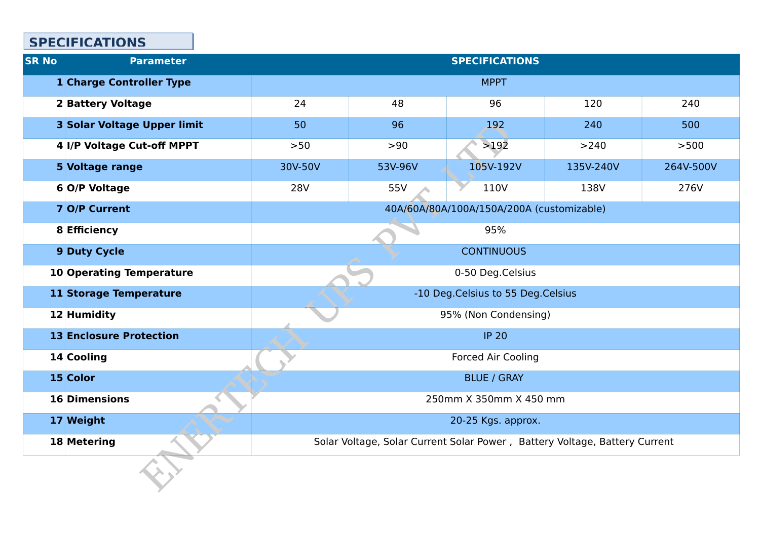| <b>SR No</b> | <b>Parameter</b>                   |                                           | <b>SPECIFICATIONS</b>                                                      |           |           |           |  |
|--------------|------------------------------------|-------------------------------------------|----------------------------------------------------------------------------|-----------|-----------|-----------|--|
|              | <b>1 Charge Controller Type</b>    | <b>MPPT</b>                               |                                                                            |           |           |           |  |
|              | <b>2 Battery Voltage</b>           | 24                                        | 48                                                                         | 96        | 120       | 240       |  |
|              | <b>3 Solar Voltage Upper limit</b> | 50                                        | 96                                                                         | 192       | 240       | 500       |  |
|              | 4 I/P Voltage Cut-off MPPT         | >50                                       | >90                                                                        | >192      | >240      | >500      |  |
|              | <b>5 Voltage range</b>             | 30V-50V                                   | 53V-96V                                                                    | 105V-192V | 135V-240V | 264V-500V |  |
|              | <b>6 O/P Voltage</b>               | <b>28V</b>                                | 55V                                                                        | 110V      | 138V      | 276V      |  |
|              | <b>7 O/P Current</b>               | 40A/60A/80A/100A/150A/200A (customizable) |                                                                            |           |           |           |  |
|              | 8 Efficiency                       | 95%                                       |                                                                            |           |           |           |  |
|              | <b>9 Duty Cycle</b>                | <b>CONTINUOUS</b>                         |                                                                            |           |           |           |  |
|              | <b>10 Operating Temperature</b>    | 0-50 Deg.Celsius                          |                                                                            |           |           |           |  |
|              | <b>11 Storage Temperature</b>      | -10 Deg. Celsius to 55 Deg. Celsius       |                                                                            |           |           |           |  |
|              | 12 Humidity                        | 95% (Non Condensing)                      |                                                                            |           |           |           |  |
|              | <b>13 Enclosure Protection</b>     | <b>IP 20</b>                              |                                                                            |           |           |           |  |
|              | 14 Cooling                         | <b>Forced Air Cooling</b>                 |                                                                            |           |           |           |  |
|              | 15 Color                           | <b>BLUE / GRAY</b>                        |                                                                            |           |           |           |  |
|              | <b>16 Dimensions</b>               | 250mm X 350mm X 450 mm                    |                                                                            |           |           |           |  |
|              | 17 Weight                          | 20-25 Kgs. approx.                        |                                                                            |           |           |           |  |
|              | <b>18 Metering</b>                 |                                           | Solar Voltage, Solar Current Solar Power, Battery Voltage, Battery Current |           |           |           |  |
|              |                                    |                                           |                                                                            |           |           |           |  |

### **SPECIFICATIONS**